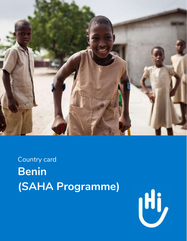

Country card **Benin** (SAHA Programme)

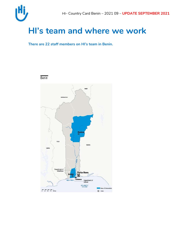

## **HI's team and where we work**

**There are 22 staff members on HI's team in Benin.** 



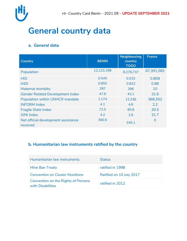

## **General country data**

### **a. General data**

| <b>Country</b>                                  | <b>BENIN</b> | <b>Neighbouring</b><br>country<br><b>TOGO</b> | <b>France</b> |
|-------------------------------------------------|--------------|-----------------------------------------------|---------------|
| Population                                      | 12,123,198   | 8,278,737                                     | 67,391,582    |
| <b>HDI</b>                                      | 0.545        | 0.515                                         | 0.809         |
| <b>IHDI</b>                                     | 0.855        | 0.822                                         | 0.98          |
| <b>Maternal mortality</b>                       | 397          | 396                                           | 10            |
| <b>Gender Related Development Index</b>         | 47.8         | 43.1                                          | 31.6          |
| Population within UNHCR mandate                 | 1,174        | 12,336                                        | 368,352       |
| <b>INFORM Index</b>                             | 4.1          | 4.6                                           | 2.2           |
| <b>Fragile State Index</b>                      | 72.5         | 85.8                                          | 30.5          |
| <b>GINI Index</b>                               | 4.2          | 2.6                                           | 31.7          |
| Net official development assistance<br>received | 360.6        | 345.1                                         | $\Omega$      |

### **b. Humanitarian law instruments ratified by the country**

| Humanitarian law instruments                             | <b>Status</b>            |
|----------------------------------------------------------|--------------------------|
| Mine Ban Treaty                                          | ratified in 1998         |
| <b>Convention on Cluster Munitions</b>                   | Ratified on 10 July 2017 |
| Convention on the Rights of Persons<br>with Disabilities | ratified in 2012         |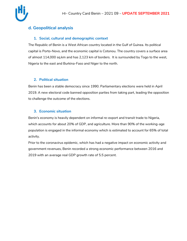

### **d. Geopolitical analysis**

#### **1. Social, cultural and demographic context**

The Republic of Benin is a West African country located in the Gulf of Guinea. Its political capital is Porto-Novo, and the economic capital is Cotonou. The country covers a surface area of almost 114,000 sq.km and has 2,123 km of borders. It is surrounded by Togo to the west, Nigeria to the east and Burkina-Faso and Niger to the north.

#### **2. Political situation**

Benin has been a stable democracy since 1990. Parliamentary elections were held in April 2019. A new electoral code banned opposition parties from taking part, leading the opposition to challenge the outcome of the elections.

#### **3. Economic situation**

Benin's economy is heavily dependent on informal re-export and transit trade to Nigeria, which accounts for about 20% of GDP, and agriculture. More than 90% of the working-age population is engaged in the informal economy which is estimated to account for 65% of total activity.

Prior to the coronavirus epidemic, which has had a negative impact on economic activity and government revenues, Benin recorded a strong economic performance between 2016 and 2019 with an average real GDP growth rate of 5.5 percent.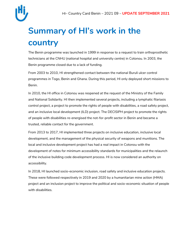

# **Summary of HI's work in the country**

The Benin programme was launched in 1999 in response to a request to train orthoprosthetic technicians at the CNHU (national hospital and university centre) in Cotonou. In 2003, the Benin programme closed due to a lack of funding.

From 2003 to 2010, HI strengthened contact between the national Buruli ulcer control programmes in Togo, Benin and Ghana. During this period, HI only deployed short missions to Benin.

In 2010, the HI office in Cotonou was reopened at the request of the Ministry of the Family and National Solidarity. HI then implemented several projects, including a lymphatic filariasis control project, a project to promote the rights of people with disabilities, a road safety project, and an inclusive local development (ILD) project. The DECISIPH project to promote the rights of people with disabilities re-energised the not-for-profit sector in Benin and became a trusted, reliable contact for the government.

From 2013 to 2017, HI implemented three projects on inclusive education, inclusive local development, and the management of the physical security of weapons and munitions. The local and inclusive development project has had a real impact in Cotonou with the development of notes for minimum accessibility standards for municipalities and the relaunch of the inclusive building code development process. HI is now considered an authority on accessibility.

In 2018, HI launched socio-economic inclusion, road safety and inclusive education projects. These were followed respectively in 2019 and 2020 by a humanitarian mine action (HMA) project and an inclusion project to improve the political and socio-economic situation of people with disabilities.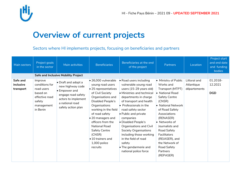

## **Overview of current projects**

Sectors where HI implements projects, focusing on beneficiaries and partners

| Main sectors                       | Project goals<br>in the sector                                                                            | Main activities                                                                                                                                | <b>Beneficiaries</b>                                                                                                                                                                                                                                                                                                                                                          | Beneficiaries at the end<br>of the project                                                                                                                                                                                                                                                                                                                                                                                                         | Partners                                                                                                                                                                                                                                                                                                                          | Location                                   | Project start<br>and end date<br>and funding<br><b>bodies</b> |
|------------------------------------|-----------------------------------------------------------------------------------------------------------|------------------------------------------------------------------------------------------------------------------------------------------------|-------------------------------------------------------------------------------------------------------------------------------------------------------------------------------------------------------------------------------------------------------------------------------------------------------------------------------------------------------------------------------|----------------------------------------------------------------------------------------------------------------------------------------------------------------------------------------------------------------------------------------------------------------------------------------------------------------------------------------------------------------------------------------------------------------------------------------------------|-----------------------------------------------------------------------------------------------------------------------------------------------------------------------------------------------------------------------------------------------------------------------------------------------------------------------------------|--------------------------------------------|---------------------------------------------------------------|
|                                    |                                                                                                           | <b>Safe and Inclusive Mobility Project</b>                                                                                                     |                                                                                                                                                                                                                                                                                                                                                                               |                                                                                                                                                                                                                                                                                                                                                                                                                                                    |                                                                                                                                                                                                                                                                                                                                   |                                            |                                                               |
| Safe and<br>inclusive<br>transport | Improve<br>conditions for<br>road users<br>based on<br>effective road<br>safety<br>management<br>in Benin | • Draft and adopt a<br>new highway code<br>• Empower and<br>engage road safety<br>actors to implement<br>a national road<br>safety action plan | $\bullet$ 26,000 vulnerable<br>young road users<br>$\bullet$ 25 representatives<br>of Civil Society<br>Organisations and<br>Disabled People's<br>Organisations<br>working in the field<br>of road safety<br>$\bullet$ 20 managers and<br>officers from the<br><b>National Road</b><br><b>Safety Centre</b><br>(CNSR)<br>$\bullet$ 10 trainers and<br>1,000 police<br>recruits | • Road users including<br>vulnerable young road<br>users (15-29 years old)<br>• Ministries and technical<br>departments in charge<br>of transport and health<br>• Professionals in the<br>road safety sector<br>• Public and private<br>companies<br>• Disabled People's<br>Organisations and Civil<br><b>Society Organisations</b><br>including those working<br>in the field of road<br>safety<br>• The gendarmerie and<br>national police force | • Ministry of Public<br>Works and<br>Transport (MTPT)<br>National Road<br><b>Safety Centre</b><br>(CNSR)<br>• National Network<br>of Road Safety<br>Associations<br>(RENASER)<br>Networks of<br>Journalists and<br>Road Safety<br><b>Facilitators</b><br>(REJASER), and<br>the Network of<br>Road Safety<br>Partners<br>(REPASER) | Littoral and<br>Atlantique<br>départements | 01.2018-<br>12.2021<br><b>DGD</b>                             |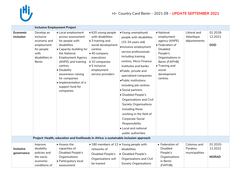

|                                | <b>Inclusive Employment Project</b>                                                                    |                                                                                                                                                                                                                                                                                                     |                                                                                                                                                                                                                                  |                                                                                                                                                                                                                                                                                                                                                                                                                                                                                                      |                                                                                                                                                                                        |                                            |                                     |
|--------------------------------|--------------------------------------------------------------------------------------------------------|-----------------------------------------------------------------------------------------------------------------------------------------------------------------------------------------------------------------------------------------------------------------------------------------------------|----------------------------------------------------------------------------------------------------------------------------------------------------------------------------------------------------------------------------------|------------------------------------------------------------------------------------------------------------------------------------------------------------------------------------------------------------------------------------------------------------------------------------------------------------------------------------------------------------------------------------------------------------------------------------------------------------------------------------------------------|----------------------------------------------------------------------------------------------------------------------------------------------------------------------------------------|--------------------------------------------|-------------------------------------|
| Economic<br>inclusion          | Develop an<br>inclusive<br>economy and<br>employment<br>for people<br>with<br>disabilities in<br>Benin | • Local employment<br>access assessment<br>for people with<br>disabilities<br>• Capacity-building for<br>the National<br><b>Employment Agency</b><br>(ANPE) and training<br>centres<br>• Disability<br>awareness-raising<br>for companies<br>· Implementation of a<br>support fund for<br>companies | • 620 young people<br>with disabilities<br>$\bullet$ 3 training and<br>social development<br>centres<br>$\bullet$ 40 company<br>executives<br>$\bullet$ 10 companies<br>$\bullet$ 5 inclusive<br>employment<br>service providers | •Young unemployed<br>people with disabilities<br>$(15-34 \text{ years old})$<br>·Inclusive employment<br>service professionals<br>including training<br>centres, Micro Finance<br>Institutes and banks<br>·Public, private and<br>specialised companies<br>· Public institutions<br>including job centres<br>· Social partners<br>· Disabled People's<br>Organisations and Civil<br><b>Society Organisations</b><br>including those<br>working in the field of<br>Corporate Social<br>Responsibility | · National<br>employment<br>agency (ANPE)<br>• Federation of<br><b>Disabled</b><br>People's<br>Organisations in<br>Benin (FAPHB)<br>• Training and<br>social<br>development<br>centres | Littoral and<br>Atlantique<br>départements | 01.2018-<br>12.2021<br><b>DGD</b>   |
|                                |                                                                                                        |                                                                                                                                                                                                                                                                                                     |                                                                                                                                                                                                                                  | • Local and national<br>public authorities                                                                                                                                                                                                                                                                                                                                                                                                                                                           |                                                                                                                                                                                        |                                            |                                     |
|                                |                                                                                                        | Project: Health, education and livelihoods in Africa: a sustainable inclusion approach                                                                                                                                                                                                              |                                                                                                                                                                                                                                  |                                                                                                                                                                                                                                                                                                                                                                                                                                                                                                      |                                                                                                                                                                                        |                                            |                                     |
| <b>Inclusive</b><br>governance | Improve<br>disability<br>policies and<br>the socio-                                                    | • Assess the<br>capacities of<br>Disabled People's<br>Organisations                                                                                                                                                                                                                                 | • 180 members of 12 • Young people with<br>networks of<br>Disabled People's                                                                                                                                                      | disabilities<br>• Disabled People's                                                                                                                                                                                                                                                                                                                                                                                                                                                                  | • Federation of<br><b>Disabled</b><br>People's<br>Organisations                                                                                                                        | Cotonou and<br>Parakou<br>municipalities   | 01.2020-<br>12.2022<br><b>NORAD</b> |
|                                | economic<br>conditions of                                                                              | • Participatory local<br>assessment:                                                                                                                                                                                                                                                                | Organisations will<br>be trained                                                                                                                                                                                                 | Organisations and Civil<br><b>Society Organisations</b>                                                                                                                                                                                                                                                                                                                                                                                                                                              | in Benin<br>(FAPHB)                                                                                                                                                                    |                                            |                                     |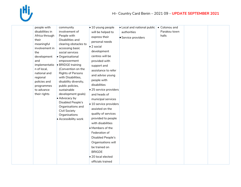

|  | people with<br>disabilities in<br>Africa through<br>their<br>meaningful<br>involvement in<br>the<br>development<br>and<br>implementatio<br>n of local,<br>national and<br>regional<br>policies and<br>programmes<br>to advance<br>their rights | community<br>involvement of<br>People with<br>Disabilities and<br>clearing obstacles to<br>accessing basic<br>social services<br>• Organisational<br>empowerment<br>• BRIDGE training<br>(Convention on the<br><b>Rights of Persons</b><br>with Disabilities,<br>disability diversity,<br>public policies,<br>sustainable<br>development goals)<br>• Advocacy by<br>Disabled People's<br>Organisations and<br><b>Civil Society</b><br>Organisations<br>• Accessibility work | $\bullet$ 10 young people<br>will be helped to<br>express their<br>personal needs<br>$\bullet$ 2 social<br>development<br>centres will be<br>provided with<br>support and<br>assistance to refer<br>and advise young<br>people with<br>disabilities<br>• 25 service providers<br>and heads of<br>municipal services<br>$\bullet$ 10 service providers<br>assisted on the<br>quality of services<br>provided to people<br>with disabilities<br>• Members of the<br>Federation of<br>Disabled People's<br>Organisations will<br>be trained on | • Local and national public<br>authorities<br>• Service providers | • Cotonou and<br>Parakou town<br>halls |  |  |
|--|------------------------------------------------------------------------------------------------------------------------------------------------------------------------------------------------------------------------------------------------|-----------------------------------------------------------------------------------------------------------------------------------------------------------------------------------------------------------------------------------------------------------------------------------------------------------------------------------------------------------------------------------------------------------------------------------------------------------------------------|---------------------------------------------------------------------------------------------------------------------------------------------------------------------------------------------------------------------------------------------------------------------------------------------------------------------------------------------------------------------------------------------------------------------------------------------------------------------------------------------------------------------------------------------|-------------------------------------------------------------------|----------------------------------------|--|--|
|--|------------------------------------------------------------------------------------------------------------------------------------------------------------------------------------------------------------------------------------------------|-----------------------------------------------------------------------------------------------------------------------------------------------------------------------------------------------------------------------------------------------------------------------------------------------------------------------------------------------------------------------------------------------------------------------------------------------------------------------------|---------------------------------------------------------------------------------------------------------------------------------------------------------------------------------------------------------------------------------------------------------------------------------------------------------------------------------------------------------------------------------------------------------------------------------------------------------------------------------------------------------------------------------------------|-------------------------------------------------------------------|----------------------------------------|--|--|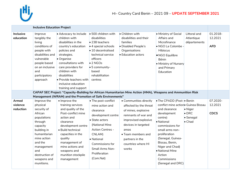

|                                | <b>Inclusive Education Project</b>                                                                                                                                                                                   |                                                                                                                                                                                                                                                                                          |                                                                                                                                                                                                                                                 |                                                                                                                                                                                                                                |                                                                                                                                                                                                                                                                                                            |                                                                 |                                    |
|--------------------------------|----------------------------------------------------------------------------------------------------------------------------------------------------------------------------------------------------------------------|------------------------------------------------------------------------------------------------------------------------------------------------------------------------------------------------------------------------------------------------------------------------------------------|-------------------------------------------------------------------------------------------------------------------------------------------------------------------------------------------------------------------------------------------------|--------------------------------------------------------------------------------------------------------------------------------------------------------------------------------------------------------------------------------|------------------------------------------------------------------------------------------------------------------------------------------------------------------------------------------------------------------------------------------------------------------------------------------------------------|-----------------------------------------------------------------|------------------------------------|
| Inclusive<br>education         | Improve<br>tangibly the<br>living<br>conditions of<br>people with<br>disabilities and<br>vulnerable<br>people based<br>on an inclusive<br>and<br>participatory<br>approach                                           | • Advocacy to include<br>children with<br>disabilities in the<br>country's education<br>policies and<br>strategies.<br>• Organise<br>consultations with<br>care providers for<br>children with<br>disabilities<br>• Provide teachers with<br>inclusive education<br>training and support | • 500 children with<br>disabilities<br>$\bullet$ 238 teachers<br>$\bullet$ 4 special schools<br>$\bullet$ 10 decentralised<br>technical service<br>officers<br>$\bullet$ 2 NGOs<br>$\bullet$ 5 community-<br>based<br>rehabilitation<br>centres | • Children with<br>disabilities and their<br>families<br>• Disabled People's<br>Organisations<br>• Education actors                                                                                                            | • Ministry of Social<br>Affairs and<br>Microfinance<br>· NGO La Colombe -<br><b>Hibiscus</b><br>· NGO Equilibre<br>Bénin<br>• Ministry of Nursery<br>and Primary<br>Education                                                                                                                              | Littoral and<br>Atlantique<br>départements                      | 01.2018-<br>12.2021<br><b>AFD</b>  |
|                                |                                                                                                                                                                                                                      |                                                                                                                                                                                                                                                                                          |                                                                                                                                                                                                                                                 | CAPAF SEC Project: "Capacity-Building for African Humanitarian Mine Action (HMA), Weapons and Ammunition Risk                                                                                                                  |                                                                                                                                                                                                                                                                                                            |                                                                 |                                    |
|                                |                                                                                                                                                                                                                      | Management (WRAM) and the Promotion of Safe Environments"                                                                                                                                                                                                                                |                                                                                                                                                                                                                                                 |                                                                                                                                                                                                                                |                                                                                                                                                                                                                                                                                                            |                                                                 |                                    |
| Armed<br>violence<br>reduction | Improve the<br>physical<br>security of<br>African<br>populations<br>through<br>capacity<br>building in<br>humanitarian<br>mine action<br>and the<br>management<br>and<br>destruction of<br>weapons and<br>munitions. | · Improve the<br>training services<br>and quality of the<br>Post-conflict mine<br>action and<br>clearance<br>development centre<br>· Build technical<br>capacities in the<br>quality<br>management of<br>mine actions and<br>weapons and<br>munition stockpile<br>management             | • The post-conflict<br>mine action and<br>clearance<br>development centre<br>• State actors<br>(National Mine<br><b>Action Centres -</b><br>CNLAM)<br>• National<br>Commissions for<br>Small Arms Non-<br>Proliferation<br>(Com.Nat)            | • Communities directly<br>affected by the threat<br>of mines, explosive<br>remnants of war and<br>improvised explosive<br>devices in targeted<br>areas<br>• Team members and<br>partners in the<br>countries where HI<br>works | • The CPADD (Post-• Benin<br>conflict mine action Guinea Bissau<br>and clearance<br>development<br>centre)<br>• National<br>commissions for<br>small arms non-<br>proliferation<br>(Senegal, Guinea-<br>Bissau, Benin,<br>Niger and Chad)<br>• National Mine<br>Action<br>Commissions<br>(Senegal and DRC) | • Niger<br>$\bullet$ DRC<br>$\bullet$ Senegal<br>$\bullet$ Chad | 07.2020-<br>12.2021<br><b>CDCS</b> |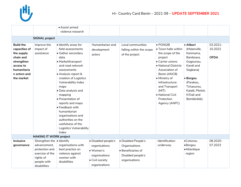

|                                                                                                                                      |                                                                                | • Assist armed<br>violence research                                                                                                                                                                                                                                            |                                                                    |                                                                                 |                                                                                                                                                                                                                                                     |                                                                                                                                                                                  |                                    |
|--------------------------------------------------------------------------------------------------------------------------------------|--------------------------------------------------------------------------------|--------------------------------------------------------------------------------------------------------------------------------------------------------------------------------------------------------------------------------------------------------------------------------|--------------------------------------------------------------------|---------------------------------------------------------------------------------|-----------------------------------------------------------------------------------------------------------------------------------------------------------------------------------------------------------------------------------------------------|----------------------------------------------------------------------------------------------------------------------------------------------------------------------------------|------------------------------------|
|                                                                                                                                      |                                                                                |                                                                                                                                                                                                                                                                                |                                                                    |                                                                                 |                                                                                                                                                                                                                                                     |                                                                                                                                                                                  |                                    |
|                                                                                                                                      | <b>SIGNAL project</b>                                                          |                                                                                                                                                                                                                                                                                |                                                                    |                                                                                 |                                                                                                                                                                                                                                                     |                                                                                                                                                                                  |                                    |
| <b>Build the</b><br>capacities of<br>the supply<br>chain and<br>strengthen<br>access to<br>humanitaria<br>n actors and<br>the market | Improve the<br>impact of<br>assistance                                         | $\bullet$ Identify areas for<br>field assessments<br>• Gather secondary<br>data<br>• Market/transport<br>and road network<br>assessments<br>• Analysis report &<br>creation of Logistics<br>Vulnerability Index<br>maps<br>• Data analysis and<br>mapping<br>• Presentation of | Humanitarian and<br>development<br>actors                          | Local communities<br>falling within the scope<br>of the project                 | $\bullet$ PONGIB<br>• Town halls within<br>the scope of the<br>project<br>• Carrier unions<br>• National Districts<br>Association of<br>Benin (ANCB)<br>· Ministry of<br>Infrastructure<br>and Transport<br>(MIT)<br>· National Civil<br>Protection | • Alibori<br>(Malanville,<br>Karimama,<br>Banikoara,<br>Gogounou,<br>Kandi and<br>Segbana)<br>• Borgou<br>(Parakou,<br>Tchaourou,<br>Kalalé, Pèrèrè,<br>N'Dali and<br>Bembèrèkè) | 03.2021-<br>10.2022<br><b>OFDA</b> |
|                                                                                                                                      |                                                                                | reports and maps<br>• Feedback with<br>humanitarian<br>organisations and<br>authorities on the<br>usefulness of the<br>Logistics Vulnerability<br>Index                                                                                                                        |                                                                    |                                                                                 | Agency (ANPC)                                                                                                                                                                                                                                       |                                                                                                                                                                                  |                                    |
|                                                                                                                                      | <b>MAKING IT WORK project</b>                                                  |                                                                                                                                                                                                                                                                                |                                                                    |                                                                                 |                                                                                                                                                                                                                                                     |                                                                                                                                                                                  |                                    |
| Inclusive<br>governance                                                                                                              | Strengthen the   Identify<br>advancement,<br>protection and<br>exercise of the | organisations with<br>best practice on<br>violence against                                                                                                                                                                                                                     | · Disabled people's<br>organisations<br>• Women's<br>organisations | • Disabled People's<br>Organisations<br>• Beneficiaries of<br>Disabled people's | Identification<br>underway                                                                                                                                                                                                                          | •Cotonou<br>•Borgou<br>• Atlantique<br>region                                                                                                                                    | 08.2020-<br>07.2023                |
|                                                                                                                                      | rights of<br>people with<br>disabilities                                       | women with<br>disabilities                                                                                                                                                                                                                                                     | • Civil society<br>organisations                                   | organisations                                                                   |                                                                                                                                                                                                                                                     |                                                                                                                                                                                  |                                    |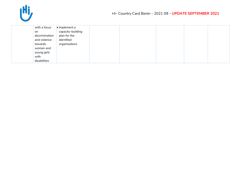

| with a focus   | $\bullet$ Implement a |
|----------------|-----------------------|
| on             | capacity-building     |
| discrimination | plan for the          |
| and violence   | identified            |
| towards        | organisations         |
| women and      |                       |
| young girls    |                       |
| with           |                       |
| disabilities   |                       |
|                |                       |